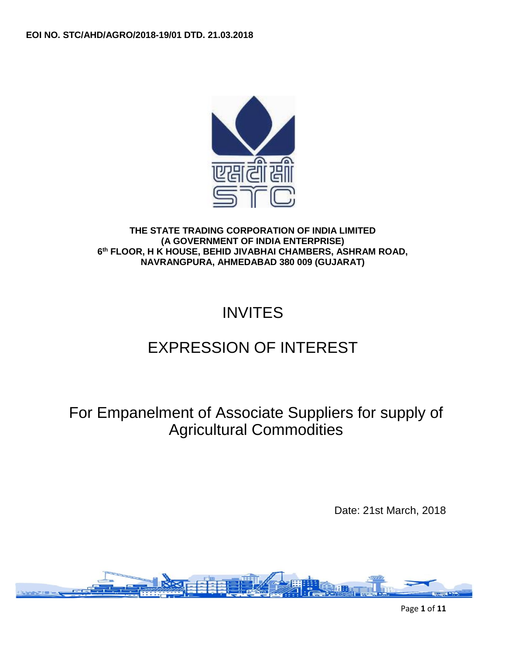

**THE STATE TRADING CORPORATION OF INDIA LIMITED (A GOVERNMENT OF INDIA ENTERPRISE) 6 th FLOOR, H K HOUSE, BEHID JIVABHAI CHAMBERS, ASHRAM ROAD, NAVRANGPURA, AHMEDABAD 380 009 (GUJARAT)**

# INVITES

# EXPRESSION OF INTEREST

For Empanelment of Associate Suppliers for supply of Agricultural Commodities

Date: 21st March, 2018

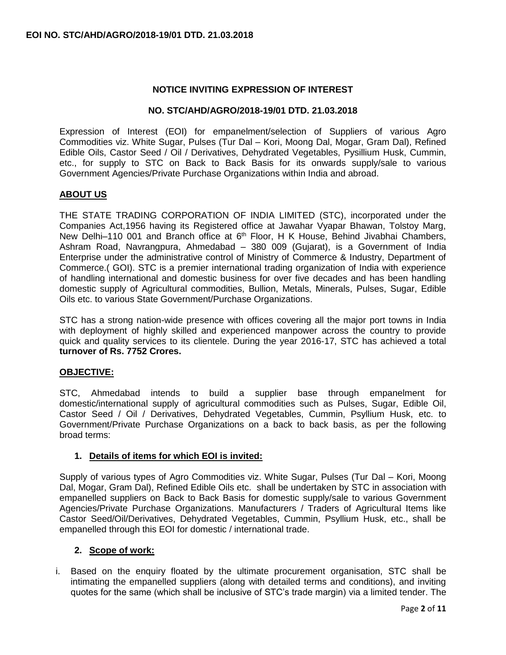## **NOTICE INVITING EXPRESSION OF INTEREST**

#### **NO. STC/AHD/AGRO/2018-19/01 DTD. 21.03.2018**

Expression of Interest (EOI) for empanelment/selection of Suppliers of various Agro Commodities viz. White Sugar, Pulses (Tur Dal – Kori, Moong Dal, Mogar, Gram Dal), Refined Edible Oils, Castor Seed / Oil / Derivatives, Dehydrated Vegetables, Pysillium Husk, Cummin, etc., for supply to STC on Back to Back Basis for its onwards supply/sale to various Government Agencies/Private Purchase Organizations within India and abroad.

## **ABOUT US**

THE STATE TRADING CORPORATION OF INDIA LIMITED (STC), incorporated under the Companies Act,1956 having its Registered office at Jawahar Vyapar Bhawan, Tolstoy Marg, New Delhi-110 001 and Branch office at 6<sup>th</sup> Floor, H K House, Behind Jivabhai Chambers, Ashram Road, Navrangpura, Ahmedabad – 380 009 (Gujarat), is a Government of India Enterprise under the administrative control of Ministry of Commerce & Industry, Department of Commerce.( GOI). STC is a premier international trading organization of India with experience of handling international and domestic business for over five decades and has been handling domestic supply of Agricultural commodities, Bullion, Metals, Minerals, Pulses, Sugar, Edible Oils etc. to various State Government/Purchase Organizations.

STC has a strong nation-wide presence with offices covering all the major port towns in India with deployment of highly skilled and experienced manpower across the country to provide quick and quality services to its clientele. During the year 2016-17, STC has achieved a total **turnover of Rs. 7752 Crores.**

## **OBJECTIVE:**

STC, Ahmedabad intends to build a supplier base through empanelment for domestic/international supply of agricultural commodities such as Pulses, Sugar, Edible Oil, Castor Seed / Oil / Derivatives, Dehydrated Vegetables, Cummin, Psyllium Husk, etc. to Government/Private Purchase Organizations on a back to back basis, as per the following broad terms:

## **1. Details of items for which EOI is invited:**

Supply of various types of Agro Commodities viz. White Sugar, Pulses (Tur Dal – Kori, Moong Dal, Mogar, Gram Dal), Refined Edible Oils etc. shall be undertaken by STC in association with empanelled suppliers on Back to Back Basis for domestic supply/sale to various Government Agencies/Private Purchase Organizations. Manufacturers / Traders of Agricultural Items like Castor Seed/Oil/Derivatives, Dehydrated Vegetables, Cummin, Psyllium Husk, etc., shall be empanelled through this EOI for domestic / international trade.

## **2. Scope of work:**

i. Based on the enquiry floated by the ultimate procurement organisation, STC shall be intimating the empanelled suppliers (along with detailed terms and conditions), and inviting quotes for the same (which shall be inclusive of STC's trade margin) via a limited tender. The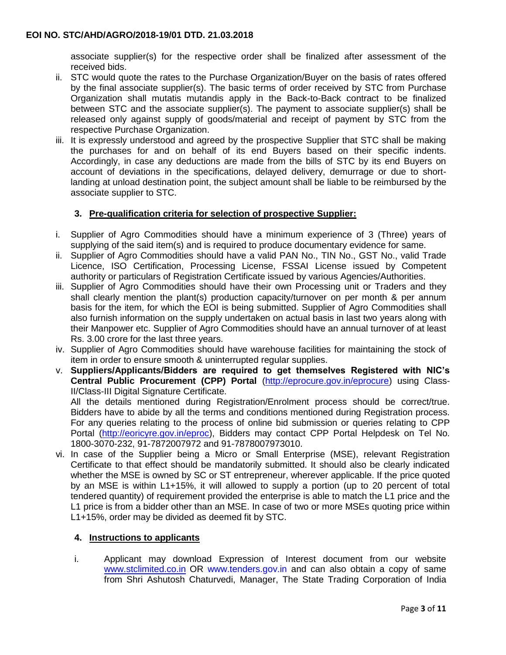associate supplier(s) for the respective order shall be finalized after assessment of the received bids.

- ii. STC would quote the rates to the Purchase Organization/Buyer on the basis of rates offered by the final associate supplier(s). The basic terms of order received by STC from Purchase Organization shall mutatis mutandis apply in the Back-to-Back contract to be finalized between STC and the associate supplier(s). The payment to associate supplier(s) shall be released only against supply of goods/material and receipt of payment by STC from the respective Purchase Organization.
- iii. It is expressly understood and agreed by the prospective Supplier that STC shall be making the purchases for and on behalf of its end Buyers based on their specific indents. Accordingly, in case any deductions are made from the bills of STC by its end Buyers on account of deviations in the specifications, delayed delivery, demurrage or due to shortlanding at unload destination point, the subject amount shall be liable to be reimbursed by the associate supplier to STC.

# **3. Pre-qualification criteria for selection of prospective Supplier:**

- i. Supplier of Agro Commodities should have a minimum experience of 3 (Three) years of supplying of the said item(s) and is required to produce documentary evidence for same.
- ii. Supplier of Agro Commodities should have a valid PAN No., TIN No., GST No., valid Trade Licence, ISO Certification, Processing License, FSSAI License issued by Competent authority or particulars of Registration Certificate issued by various Agencies/Authorities.
- iii. Supplier of Agro Commodities should have their own Processing unit or Traders and they shall clearly mention the plant(s) production capacity/turnover on per month & per annum basis for the item, for which the EOI is being submitted. Supplier of Agro Commodities shall also furnish information on the supply undertaken on actual basis in last two years along with their Manpower etc. Supplier of Agro Commodities should have an annual turnover of at least Rs. 3.00 crore for the last three years.
- iv. Supplier of Agro Commodities should have warehouse facilities for maintaining the stock of item in order to ensure smooth & uninterrupted regular supplies.
- v. **Suppliers/Applicants/Bidders are required to get themselves Registered with NIC's Central Public Procurement (CPP) Portal** [\(http://eprocure.gov.in/eprocure\)](http://eprocure.gov.in/eprocure) using Class-II/Class-III Digital Signature Certificate. All the details mentioned during Registration/Enrolment process should be correct/true. Bidders have to abide by all the terms and conditions mentioned during Registration process.

For any queries relating to the process of online bid submission or queries relating to CPP Portal [\(http://eoricyre.gov.in/eproc\)](http://eoricyre.gov.in/eproc), Bidders may contact CPP Portal Helpdesk on Tel No. 1800-3070-232, 91-7872007972 and 91-7878007973010.

vi. In case of the Supplier being a Micro or Small Enterprise (MSE), relevant Registration Certificate to that effect should be mandatorily submitted. It should also be clearly indicated whether the MSE is owned by SC or ST entrepreneur, wherever applicable. If the price quoted by an MSE is within L1+15%, it will allowed to supply a portion (up to 20 percent of total tendered quantity) of requirement provided the enterprise is able to match the L1 price and the L1 price is from a bidder other than an MSE. In case of two or more MSEs quoting price within L1+15%, order may be divided as deemed fit by STC.

## **4. Instructions to applicants**

i. Applicant may download Expression of Interest document from our website [www.stclimited.co.in](http://www.stclimited.co.in/) OR www.tenders.gov.in and can also obtain a copy of same from Shri Ashutosh Chaturvedi, Manager, The State Trading Corporation of India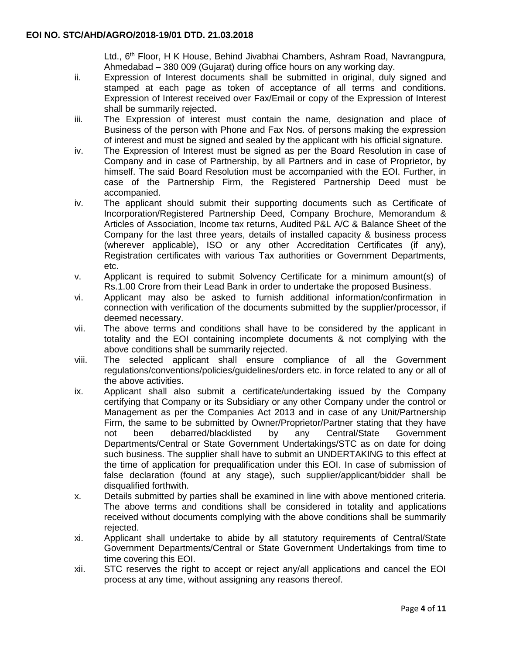Ltd., 6<sup>th</sup> Floor, H K House, Behind Jivabhai Chambers, Ashram Road, Navrangpura, Ahmedabad – 380 009 (Gujarat) during office hours on any working day.

- ii. Expression of Interest documents shall be submitted in original, duly signed and stamped at each page as token of acceptance of all terms and conditions. Expression of Interest received over Fax/Email or copy of the Expression of Interest shall be summarily rejected.
- iii. The Expression of interest must contain the name, designation and place of Business of the person with Phone and Fax Nos. of persons making the expression of interest and must be signed and sealed by the applicant with his official signature.
- iv. The Expression of Interest must be signed as per the Board Resolution in case of Company and in case of Partnership, by all Partners and in case of Proprietor, by himself. The said Board Resolution must be accompanied with the EOI. Further, in case of the Partnership Firm, the Registered Partnership Deed must be accompanied.
- iv. The applicant should submit their supporting documents such as Certificate of Incorporation/Registered Partnership Deed, Company Brochure, Memorandum & Articles of Association, Income tax returns, Audited P&L A/C & Balance Sheet of the Company for the last three years, details of installed capacity & business process (wherever applicable), ISO or any other Accreditation Certificates (if any), Registration certificates with various Tax authorities or Government Departments, etc.
- v. Applicant is required to submit Solvency Certificate for a minimum amount(s) of Rs.1.00 Crore from their Lead Bank in order to undertake the proposed Business.
- vi. Applicant may also be asked to furnish additional information/confirmation in connection with verification of the documents submitted by the supplier/processor, if deemed necessary.
- vii. The above terms and conditions shall have to be considered by the applicant in totality and the EOI containing incomplete documents & not complying with the above conditions shall be summarily rejected.
- viii. The selected applicant shall ensure compliance of all the Government regulations/conventions/policies/guidelines/orders etc. in force related to any or all of the above activities.
- ix. Applicant shall also submit a certificate/undertaking issued by the Company certifying that Company or its Subsidiary or any other Company under the control or Management as per the Companies Act 2013 and in case of any Unit/Partnership Firm, the same to be submitted by Owner/Proprietor/Partner stating that they have not been debarred/blacklisted by any Central/State Government Departments/Central or State Government Undertakings/STC as on date for doing such business. The supplier shall have to submit an UNDERTAKING to this effect at the time of application for prequalification under this EOI. In case of submission of false declaration (found at any stage), such supplier/applicant/bidder shall be disqualified forthwith.
- x. Details submitted by parties shall be examined in line with above mentioned criteria. The above terms and conditions shall be considered in totality and applications received without documents complying with the above conditions shall be summarily rejected.
- xi. Applicant shall undertake to abide by all statutory requirements of Central/State Government Departments/Central or State Government Undertakings from time to time covering this EOI.
- xii. STC reserves the right to accept or reject any/all applications and cancel the EOI process at any time, without assigning any reasons thereof.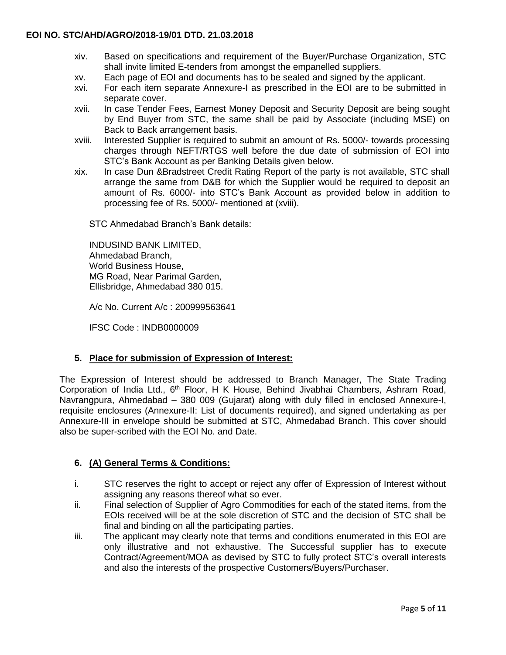- xiv. Based on specifications and requirement of the Buyer/Purchase Organization, STC shall invite limited E-tenders from amongst the empanelled suppliers.
- xv. Each page of EOI and documents has to be sealed and signed by the applicant.
- xvi. For each item separate Annexure-I as prescribed in the EOI are to be submitted in separate cover.
- xvii. In case Tender Fees, Earnest Money Deposit and Security Deposit are being sought by End Buyer from STC, the same shall be paid by Associate (including MSE) on Back to Back arrangement basis.
- xviii. Interested Supplier is required to submit an amount of Rs. 5000/- towards processing charges through NEFT/RTGS well before the due date of submission of EOI into STC's Bank Account as per Banking Details given below.
- xix. In case Dun &Bradstreet Credit Rating Report of the party is not available, STC shall arrange the same from D&B for which the Supplier would be required to deposit an amount of Rs. 6000/- into STC's Bank Account as provided below in addition to processing fee of Rs. 5000/- mentioned at (xviii).

STC Ahmedabad Branch's Bank details:

INDUSIND BANK LIMITED, Ahmedabad Branch, World Business House, MG Road, Near Parimal Garden, Ellisbridge, Ahmedabad 380 015.

A/c No. Current A/c : 200999563641

IFSC Code : INDB0000009

# **5. Place for submission of Expression of Interest:**

The Expression of Interest should be addressed to Branch Manager, The State Trading Corporation of India Ltd., 6<sup>th</sup> Floor, H K House, Behind Jivabhai Chambers, Ashram Road, Navrangpura, Ahmedabad – 380 009 (Gujarat) along with duly filled in enclosed Annexure-I, requisite enclosures (Annexure-II: List of documents required), and signed undertaking as per Annexure-III in envelope should be submitted at STC, Ahmedabad Branch. This cover should also be super-scribed with the EOI No. and Date.

# **6. (A) General Terms & Conditions:**

- i. STC reserves the right to accept or reject any offer of Expression of Interest without assigning any reasons thereof what so ever.
- ii. Final selection of Supplier of Agro Commodities for each of the stated items, from the EOIs received will be at the sole discretion of STC and the decision of STC shall be final and binding on all the participating parties.
- iii. The applicant may clearly note that terms and conditions enumerated in this EOI are only illustrative and not exhaustive. The Successful supplier has to execute Contract/Agreement/MOA as devised by STC to fully protect STC's overall interests and also the interests of the prospective Customers/Buyers/Purchaser.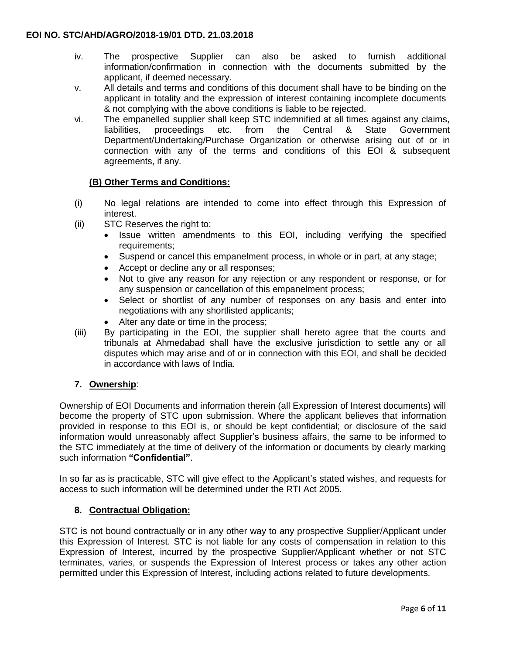- iv. The prospective Supplier can also be asked to furnish additional information/confirmation in connection with the documents submitted by the applicant, if deemed necessary.
- v. All details and terms and conditions of this document shall have to be binding on the applicant in totality and the expression of interest containing incomplete documents & not complying with the above conditions is liable to be rejected.
- vi. The empanelled supplier shall keep STC indemnified at all times against any claims, liabilities, proceedings etc. from the Central & State Government Department/Undertaking/Purchase Organization or otherwise arising out of or in connection with any of the terms and conditions of this EOI & subsequent agreements, if any.

# **(B) Other Terms and Conditions:**

- (i) No legal relations are intended to come into effect through this Expression of interest.
- (ii) STC Reserves the right to:
	- Issue written amendments to this EOI, including verifying the specified requirements;
	- Suspend or cancel this empanelment process, in whole or in part, at any stage;
	- Accept or decline any or all responses;
	- Not to give any reason for any rejection or any respondent or response, or for any suspension or cancellation of this empanelment process;
	- Select or shortlist of any number of responses on any basis and enter into negotiations with any shortlisted applicants;
	- Alter any date or time in the process;
- (iii) By participating in the EOI, the supplier shall hereto agree that the courts and tribunals at Ahmedabad shall have the exclusive jurisdiction to settle any or all disputes which may arise and of or in connection with this EOI, and shall be decided in accordance with laws of India.

# **7. Ownership**:

Ownership of EOI Documents and information therein (all Expression of Interest documents) will become the property of STC upon submission. Where the applicant believes that information provided in response to this EOI is, or should be kept confidential; or disclosure of the said information would unreasonably affect Supplier's business affairs, the same to be informed to the STC immediately at the time of delivery of the information or documents by clearly marking such information **"Confidential"**.

In so far as is practicable, STC will give effect to the Applicant's stated wishes, and requests for access to such information will be determined under the RTI Act 2005.

# **8. Contractual Obligation:**

STC is not bound contractually or in any other way to any prospective Supplier/Applicant under this Expression of Interest. STC is not liable for any costs of compensation in relation to this Expression of Interest, incurred by the prospective Supplier/Applicant whether or not STC terminates, varies, or suspends the Expression of Interest process or takes any other action permitted under this Expression of Interest, including actions related to future developments.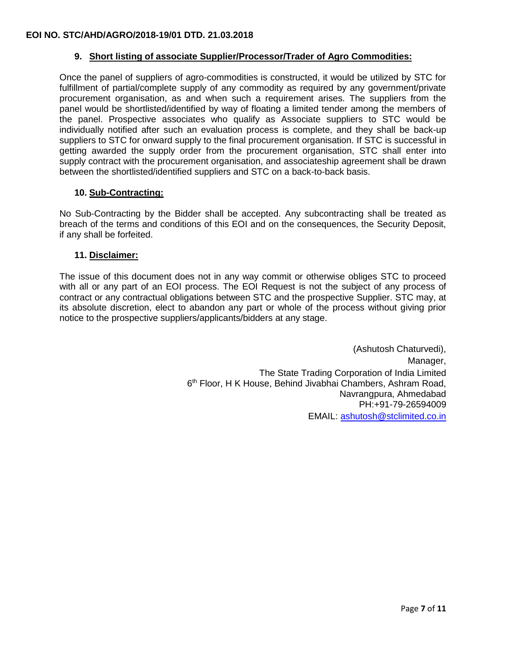## **9. Short listing of associate Supplier/Processor/Trader of Agro Commodities:**

Once the panel of suppliers of agro-commodities is constructed, it would be utilized by STC for fulfillment of partial/complete supply of any commodity as required by any government/private procurement organisation, as and when such a requirement arises. The suppliers from the panel would be shortlisted/identified by way of floating a limited tender among the members of the panel. Prospective associates who qualify as Associate suppliers to STC would be individually notified after such an evaluation process is complete, and they shall be back-up suppliers to STC for onward supply to the final procurement organisation. If STC is successful in getting awarded the supply order from the procurement organisation, STC shall enter into supply contract with the procurement organisation, and associateship agreement shall be drawn between the shortlisted/identified suppliers and STC on a back-to-back basis.

## **10. Sub-Contracting:**

No Sub-Contracting by the Bidder shall be accepted. Any subcontracting shall be treated as breach of the terms and conditions of this EOI and on the consequences, the Security Deposit, if any shall be forfeited.

#### **11. Disclaimer:**

The issue of this document does not in any way commit or otherwise obliges STC to proceed with all or any part of an EOI process. The EOI Request is not the subject of any process of contract or any contractual obligations between STC and the prospective Supplier. STC may, at its absolute discretion, elect to abandon any part or whole of the process without giving prior notice to the prospective suppliers/applicants/bidders at any stage.

> (Ashutosh Chaturvedi), Manager. The State Trading Corporation of India Limited 6<sup>th</sup> Floor, H K House, Behind Jivabhai Chambers, Ashram Road, Navrangpura, Ahmedabad PH:+91-79-26594009 EMAIL: [ashutosh@stclimited.co.in](mailto:ashutosh@stclimited.co.in)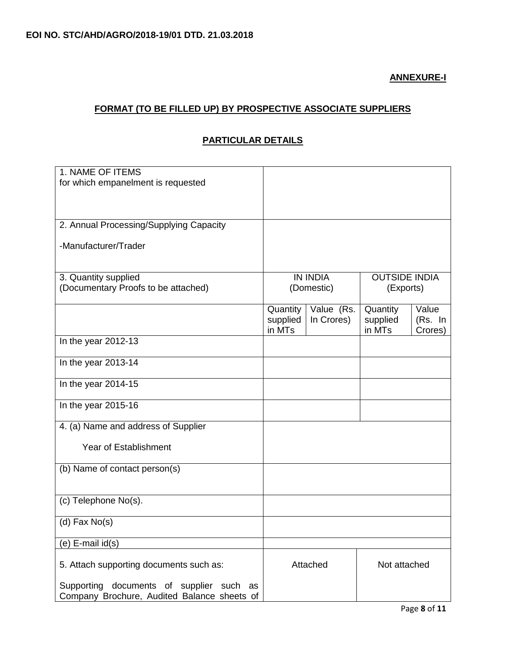# **ANNEXURE-I**

# **FORMAT (TO BE FILLED UP) BY PROSPECTIVE ASSOCIATE SUPPLIERS**

# **PARTICULAR DETAILS**

| 1. NAME OF ITEMS                            |                      |                          |                      |                  |
|---------------------------------------------|----------------------|--------------------------|----------------------|------------------|
| for which empanelment is requested          |                      |                          |                      |                  |
|                                             |                      |                          |                      |                  |
|                                             |                      |                          |                      |                  |
| 2. Annual Processing/Supplying Capacity     |                      |                          |                      |                  |
| -Manufacturer/Trader                        |                      |                          |                      |                  |
|                                             |                      |                          |                      |                  |
|                                             |                      |                          |                      |                  |
| 3. Quantity supplied                        | <b>IN INDIA</b>      |                          | <b>OUTSIDE INDIA</b> |                  |
| (Documentary Proofs to be attached)         | (Domestic)           |                          | (Exports)            |                  |
|                                             |                      |                          |                      |                  |
|                                             | Quantity<br>supplied | Value (Rs.<br>In Crores) | Quantity<br>supplied | Value<br>(Rs. In |
|                                             | in MTs               |                          | in MTs               | Crores)          |
| In the year 2012-13                         |                      |                          |                      |                  |
|                                             |                      |                          |                      |                  |
| In the year 2013-14                         |                      |                          |                      |                  |
| In the year 2014-15                         |                      |                          |                      |                  |
|                                             |                      |                          |                      |                  |
| In the year 2015-16                         |                      |                          |                      |                  |
|                                             |                      |                          |                      |                  |
| 4. (a) Name and address of Supplier         |                      |                          |                      |                  |
| <b>Year of Establishment</b>                |                      |                          |                      |                  |
|                                             |                      |                          |                      |                  |
| (b) Name of contact person(s)               |                      |                          |                      |                  |
|                                             |                      |                          |                      |                  |
|                                             |                      |                          |                      |                  |
| (c) Telephone No(s).                        |                      |                          |                      |                  |
| $(d)$ Fax No $(s)$                          |                      |                          |                      |                  |
|                                             |                      |                          |                      |                  |
| (e) E-mail id(s)                            |                      |                          |                      |                  |
|                                             |                      |                          |                      |                  |
| 5. Attach supporting documents such as:     | Attached             |                          | Not attached         |                  |
| Supporting documents of supplier such as    |                      |                          |                      |                  |
| Company Brochure, Audited Balance sheets of |                      |                          |                      |                  |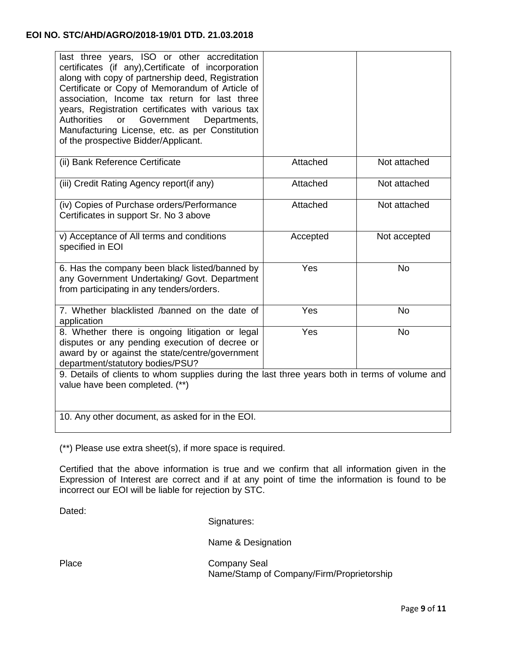# **EOI NO. STC/AHD/AGRO/2018-19/01 DTD. 21.03.2018**

| last three years, ISO or other accreditation<br>certificates (if any), Certificate of incorporation<br>along with copy of partnership deed, Registration<br>Certificate or Copy of Memorandum of Article of<br>association, Income tax return for last three<br>years, Registration certificates with various tax<br>Government<br><b>Authorities</b><br>or<br>Departments,<br>Manufacturing License, etc. as per Constitution<br>of the prospective Bidder/Applicant. |          |              |  |  |  |
|------------------------------------------------------------------------------------------------------------------------------------------------------------------------------------------------------------------------------------------------------------------------------------------------------------------------------------------------------------------------------------------------------------------------------------------------------------------------|----------|--------------|--|--|--|
| (ii) Bank Reference Certificate                                                                                                                                                                                                                                                                                                                                                                                                                                        | Attached | Not attached |  |  |  |
| (iii) Credit Rating Agency report(if any)                                                                                                                                                                                                                                                                                                                                                                                                                              | Attached | Not attached |  |  |  |
| (iv) Copies of Purchase orders/Performance<br>Certificates in support Sr. No 3 above                                                                                                                                                                                                                                                                                                                                                                                   | Attached | Not attached |  |  |  |
| v) Acceptance of All terms and conditions<br>specified in EOI                                                                                                                                                                                                                                                                                                                                                                                                          | Accepted | Not accepted |  |  |  |
| 6. Has the company been black listed/banned by<br>any Government Undertaking/ Govt. Department<br>from participating in any tenders/orders.                                                                                                                                                                                                                                                                                                                            | Yes      | <b>No</b>    |  |  |  |
| 7. Whether blacklisted /banned on the date of<br>application                                                                                                                                                                                                                                                                                                                                                                                                           | Yes      | <b>No</b>    |  |  |  |
| 8. Whether there is ongoing litigation or legal<br>disputes or any pending execution of decree or<br>award by or against the state/centre/government<br>department/statutory bodies/PSU?                                                                                                                                                                                                                                                                               | Yes      | <b>No</b>    |  |  |  |
| 9. Details of clients to whom supplies during the last three years both in terms of volume and<br>value have been completed. (**)                                                                                                                                                                                                                                                                                                                                      |          |              |  |  |  |
| 10. Any other document, as asked for in the EOI.                                                                                                                                                                                                                                                                                                                                                                                                                       |          |              |  |  |  |

(\*\*) Please use extra sheet(s), if more space is required.

Certified that the above information is true and we confirm that all information given in the Expression of Interest are correct and if at any point of time the information is found to be incorrect our EOI will be liable for rejection by STC.

Dated:

Signatures:

Name & Designation

Place Company Seal Name/Stamp of Company/Firm/Proprietorship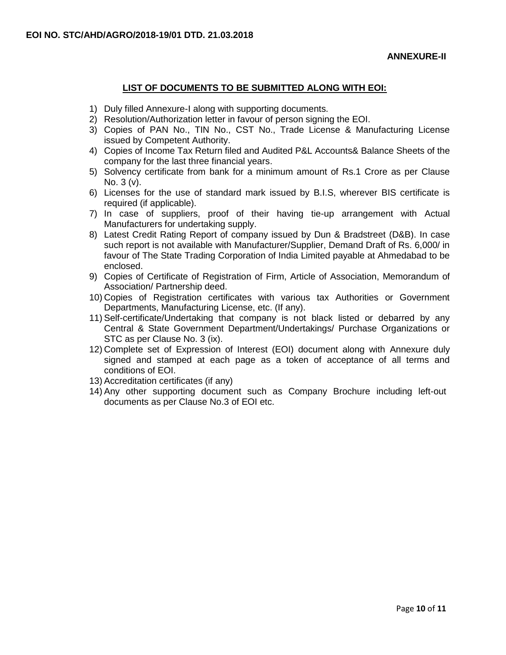## **LIST OF DOCUMENTS TO BE SUBMITTED ALONG WITH EOI:**

- 1) Duly filled Annexure-I along with supporting documents.
- 2) Resolution/Authorization letter in favour of person signing the EOI.
- 3) Copies of PAN No., TIN No., CST No., Trade License & Manufacturing License issued by Competent Authority.
- 4) Copies of Income Tax Return filed and Audited P&L Accounts& Balance Sheets of the company for the last three financial years.
- 5) Solvency certificate from bank for a minimum amount of Rs.1 Crore as per Clause No. 3 (v).
- 6) Licenses for the use of standard mark issued by B.I.S, wherever BIS certificate is required (if applicable).
- 7) In case of suppliers, proof of their having tie-up arrangement with Actual Manufacturers for undertaking supply.
- 8) Latest Credit Rating Report of company issued by Dun & Bradstreet (D&B). In case such report is not available with Manufacturer/Supplier, Demand Draft of Rs. 6,000/ in favour of The State Trading Corporation of India Limited payable at Ahmedabad to be enclosed.
- 9) Copies of Certificate of Registration of Firm, Article of Association, Memorandum of Association/ Partnership deed.
- 10) Copies of Registration certificates with various tax Authorities or Government Departments, Manufacturing License, etc. (If any).
- 11) Self-certificate/Undertaking that company is not black listed or debarred by any Central & State Government Department/Undertakings/ Purchase Organizations or STC as per Clause No. 3 (ix).
- 12) Complete set of Expression of Interest (EOI) document along with Annexure duly signed and stamped at each page as a token of acceptance of all terms and conditions of EOI.
- 13) Accreditation certificates (if any)
- 14) Any other supporting document such as Company Brochure including left-out documents as per Clause No.3 of EOI etc.